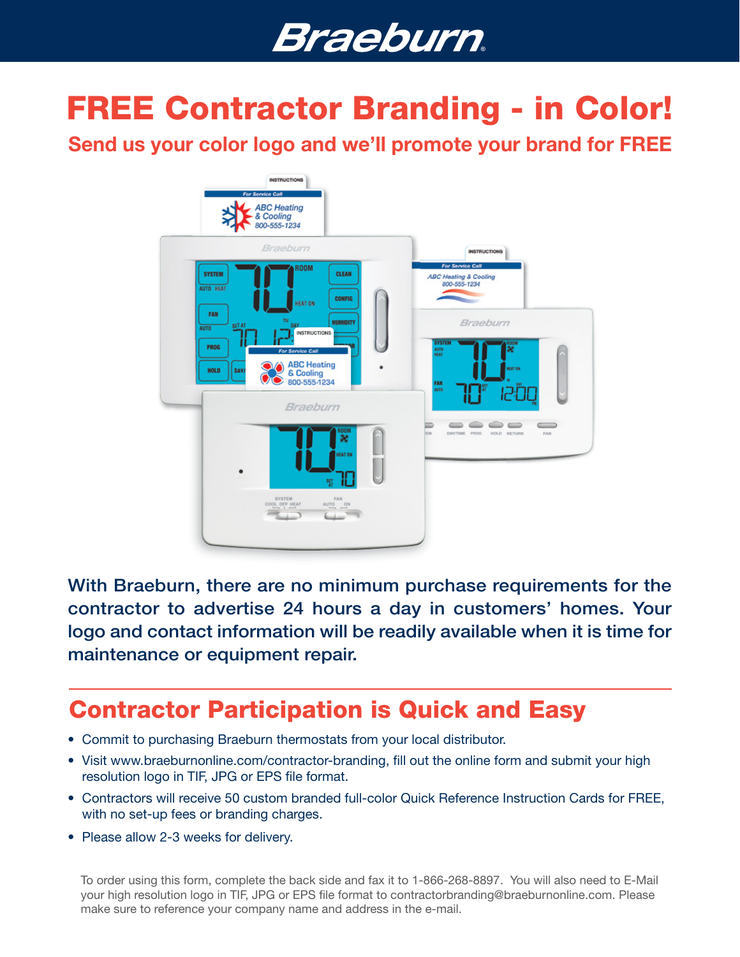# **Braeburn**.

# FREE Contractor Branding - in Color!

Send us your color logo and we'll promote your brand for FREE



With Braeburn, there are no minimum purchase requirements for the contractor to advertise 24 hours a day in customers' homes. Your logo and contact information will be readily available when it is time for maintenance or equipment repair.

## Contractor Participation is Quick and Easy

- Commit to purchasing Braeburn thermostats from your local distributor.
- Visit www.braeburnonline.com/contractor-branding, fill out the online form and submit your high resolution logo in TIF, JPG or EPS file format.
- Contractors will receive 50 custom branded full-color Quick Reference Instruction Cards for FREE, with no set-up fees or branding charges.
- Please allow 2-3 weeks for delivery.

To order using this form, complete the back side and fax it to 1-866-268-8897. You will also need to E-Mail your high resolution logo in TIF, JPG or EPS file format to contractorbranding@braeburnonline.com. Please make sure to reference your company name and address in the e-mail.